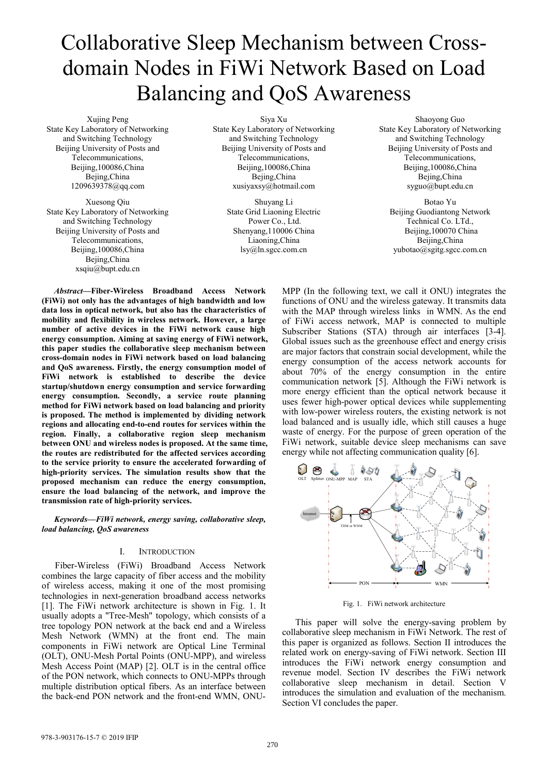# Collaborative Sleep Mechanism between Crossdomain Nodes in FiWi Network Based on Load Balancing and QoS Awareness

Xujing Peng State Key Laboratory of Networking and Switching Technology Beijing University of Posts and Telecommunications, Beijing,100086,China Bejing,China 1209639378@qq.com

Xuesong Qiu State Key Laboratory of Networking and Switching Technology Beijing University of Posts and Telecommunications, Beijing,100086,China Bejing,China xsqiu@bupt.edu.cn

Siya Xu

State Key Laboratory of Networking and Switching Technology Beijing University of Posts and Telecommunications, Beijing,100086,China Bejing,China xusiyaxsy@hotmail.com

> Shuyang Li State Grid Liaoning Electric Power Co., Ltd. Shenyang,110006 China Liaoning,China lsy@ln.sgcc.com.cn

Shaoyong Guo State Key Laboratory of Networking and Switching Technology Beijing University of Posts and Telecommunications, Beijing,100086,China Bejing,China syguo@bupt.edu.cn

Botao Yu Beijing Guodiantong Network Technical Co. LTd., Beijing,100070 China Beijing,China yubotao@sgitg.sgcc.com.cn

*Abstract***—Fiber-Wireless Broadband Access Network (FiWi) not only has the advantages of high bandwidth and low data loss in optical network, but also has the characteristics of mobility and flexibility in wireless network. However, a large number of active devices in the FiWi network cause high energy consumption. Aiming at saving energy of FiWi network, this paper studies the collaborative sleep mechanism between cross-domain nodes in FiWi network based on load balancing and QoS awareness. Firstly, the energy consumption model of FiWi network is established to describe the device startup/shutdown energy consumption and service forwarding energy consumption. Secondly, a service route planning method for FiWi network based on load balancing and priority is proposed. The method is implemented by dividing network regions and allocating end-to-end routes for services within the region. Finally, a collaborative region sleep mechanism between ONU and wireless nodes is proposed. At the same time, the routes are redistributed for the affected services according to the service priority to ensure the accelerated forwarding of high-priority services. The simulation results show that the proposed mechanism can reduce the energy consumption, ensure the load balancing of the network, and improve the transmission rate of high-priority services.**

*Keywords—FiWi network, energy saving, collaborative sleep, load balancing, QoS awareness*

## I. INTRODUCTION

Fiber-Wireless (FiWi) Broadband Access Network combines the large capacity of fiber access and the mobility of wireless access, making it one of the most promising technologies in next-generation broadband access networks [1]. The FiWi network architecture is shown in Fig. 1. It usually adopts a "Tree-Mesh" topology, which consists of a tree topology PON network at the back end and a Wireless Mesh Network (WMN) at the front end. The main components in FiWi network are Optical Line Terminal (OLT), ONU-Mesh Portal Points (ONU-MPP), and wireless Mesh Access Point (MAP) [2]. OLT is in the central office of the PON network, which connects to ONU-MPPs through multiple distribution optical fibers. As an interface between the back-end PON network and the front-end WMN, ONU- MPP (In the following text, we call it ONU) integrates the functions of ONU and the wireless gateway. It transmits data with the MAP through wireless links in WMN. As the end of FiWi access network, MAP is connected to multiple Subscriber Stations (STA) through air interfaces [3-4]. Global issues such as the greenhouse effect and energy crisis are major factors that constrain social development, while the energy consumption of the access network accounts for about 70% of the energy consumption in the entire communication network [5]. Although the FiWi network is more energy efficient than the optical network because it uses fewer high-power optical devices while supplementing with low-power wireless routers, the existing network is not load balanced and is usually idle, which still causes a huge waste of energy. For the purpose of green operation of the FiWi network, suitable device sleep mechanisms can save energy while not affecting communication quality [6].



Fig. 1. FiWi network architecture

This paper will solve the energy-saving problem by collaborative sleep mechanism in FiWi Network. The rest of this paper is organized as follows. Section II introduces the related work on energy-saving of FiWi network. Section III introduces the FiWi network energy consumption and revenue model. Section IV describes the FiWi network collaborative sleep mechanism in detail. Section V introduces the simulation and evaluation of the mechanism. Section VI concludes the paper.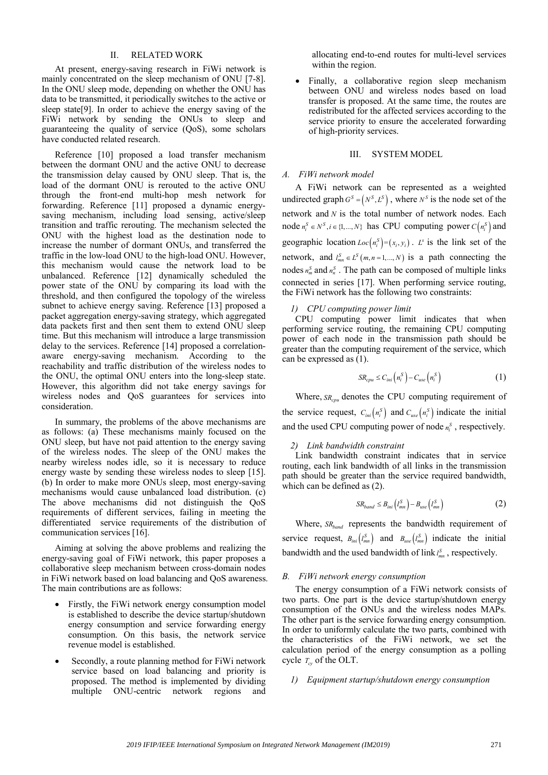## II. RELATED WORK

At present, energy-saving research in FiWi network is mainly concentrated on the sleep mechanism of ONU [7-8]. In the ONU sleep mode, depending on whether the ONU has data to be transmitted, it periodically switches to the active or sleep state[9]. In order to achieve the energy saving of the FiWi network by sending the ONUs to sleep and guaranteeing the quality of service (QoS), some scholars have conducted related research.

Reference [10] proposed a load transfer mechanism between the dormant ONU and the active ONU to decrease the transmission delay caused by ONU sleep. That is, the load of the dormant ONU is rerouted to the active ONU through the front-end multi-hop mesh network for forwarding. Reference [11] proposed a dynamic energysaving mechanism, including load sensing, active/sleep transition and traffic rerouting. The mechanism selected the ONU with the highest load as the destination node to increase the number of dormant ONUs, and transferred the traffic in the low-load ONU to the high-load ONU. However, this mechanism would cause the network load to be unbalanced. Reference [12] dynamically scheduled the power state of the ONU by comparing its load with the threshold, and then configured the topology of the wireless subnet to achieve energy saving. Reference [13] proposed a packet aggregation energy-saving strategy, which aggregated data packets first and then sent them to extend ONU sleep time. But this mechanism will introduce a large transmission delay to the services. Reference [14] proposed a correlationaware energy-saving mechanism. According to the reachability and traffic distribution of the wireless nodes to the ONU, the optimal ONU enters into the long-sleep state. However, this algorithm did not take energy savings for wireless nodes and QoS guarantees for services into consideration.

In summary, the problems of the above mechanisms are as follows: (a) These mechanisms mainly focused on the ONU sleep, but have not paid attention to the energy saving of the wireless nodes. The sleep of the ONU makes the nearby wireless nodes idle, so it is necessary to reduce energy waste by sending these wireless nodes to sleep [15]. (b) In order to make more ONUs sleep, most energy-saving mechanisms would cause unbalanced load distribution. (c) The above mechanisms did not distinguish the QoS requirements of different services, failing in meeting the differentiated service requirements of the distribution of communication services [16].

Aiming at solving the above problems and realizing the energy-saving goal of FiWi network, this paper proposes a collaborative sleep mechanism between cross-domain nodes in FiWi network based on load balancing and QoS awareness. The main contributions are as follows:

- Firstly, the FiWi network energy consumption model is established to describe the device startup/shutdown energy consumption and service forwarding energy consumption. On this basis, the network service revenue model is established.
- Secondly, a route planning method for FiWi network service based on load balancing and priority is proposed. The method is implemented by dividing multiple ONU-centric network regions and

allocating end-to-end routes for multi-level services within the region.

 Finally, a collaborative region sleep mechanism between ONU and wireless nodes based on load transfer is proposed. At the same time, the routes are redistributed for the affected services according to the service priority to ensure the accelerated forwarding of high-priority services.

## III. SYSTEM MODEL

## *A. FiWi network model*

A FiWi network can be represented as a weighted undirected graph  $G^S = (N^S, L^S)$ , where  $N^S$  is the node set of the network and *N* is the total number of network nodes. Each node  $n_i^S \in N^S, i \in \{1, ..., N\}$  has CPU computing power  $C(n_i^S)$  and geographic location  $Loc(n_i^S)=(x_i, y_i)$ .  $L^S$  is the link set of the network, and  $l_{mn}^S \in L^S(m, n = 1, ..., N)$  is a path connecting the nodes  $n_m^S$  and  $n_n^S$ . The path can be composed of multiple links connected in series [17]. When performing service routing, the FiWi network has the following two constraints:

#### *1) CPU computing power limit*

CPU computing power limit indicates that when performing service routing, the remaining CPU computing power of each node in the transmission path should be greater than the computing requirement of the service, which can be expressed as (1).

$$
SR_{cpu} \le C_{ini} \left( n_i^S \right) - C_{use} \left( n_i^S \right) \tag{1}
$$

Where,  $SR_{cpu}$  denotes the CPU computing requirement of the service request,  $C_{ini}(n_i^S)$  and  $C_{use}(n_i^S)$  indicate the initial and the used CPU computing power of node  $n_i^S$ , respectively.

#### *2) Link bandwidth constraint*

Link bandwidth constraint indicates that in service routing, each link bandwidth of all links in the transmission path should be greater than the service required bandwidth, which can be defined as (2).

$$
SR_{band} \leq B_{ini} \left( l_{mn}^S \right) - B_{use} \left( l_{mn}^S \right) \tag{2}
$$

Where, *SR*<sub>hand</sub> represents the bandwidth requirement of service request,  $B_{ini} (l_{mn}^S)$  and  $B_{use}(l_{mn}^S)$  indicate the initial bandwidth and the used bandwidth of  $\lim_{m}$ , respectively.

## *B. FiWi network energy consumption*

The energy consumption of a FiWi network consists of two parts. One part is the device startup/shutdown energy consumption of the ONUs and the wireless nodes MAPs. The other part is the service forwarding energy consumption. In order to uniformly calculate the two parts, combined with the characteristics of the FiWi network, we set the calculation period of the energy consumption as a polling cycle  $T_{c}$  of the OLT.

## *1) Equipment startup/shutdown energy consumption*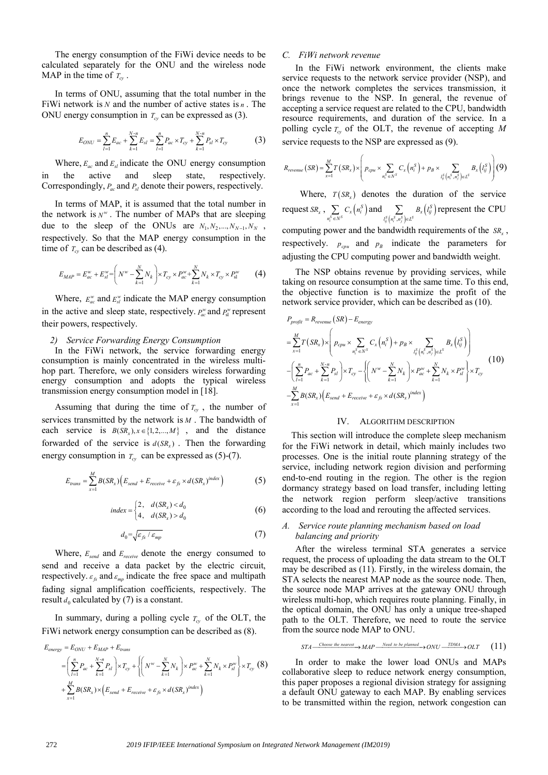The energy consumption of the FiWi device needs to be calculated separately for the ONU and the wireless node MAP in the time of  $T_{cv}$ .

In terms of ONU, assuming that the total number in the FiWi network is *N* and the number of active states is *n* . The ONU energy consumption in  $T_{cv}$  can be expressed as (3).

$$
E_{ONU} = \sum_{l=1}^{n} E_{ac} + \sum_{k=1}^{N-n} E_{sl} = \sum_{l=1}^{n} P_{ac} \times T_{cy} + \sum_{k=1}^{N-n} P_{sl} \times T_{cy}
$$
(3)

Where,  $E_{ac}$  and  $E_{sl}$  indicate the ONU energy consumption in the active and sleep state, respectively. Correspondingly,  $P_{ac}$  and  $P_{sl}$  denote their powers, respectively.

In terms of MAP, it is assumed that the total number in the network is  $N^w$ . The number of MAPs that are sleeping due to the sleep of the ONUs are  $N_1, N_2, ..., N_{N-1}, N_N$ , respectively. So that the MAP energy consumption in the time of  $T_{cy}$  can be described as (4).

$$
E_{MAP} = E_{ac}^{w} + E_{sl}^{w} = \left( N^{w} - \sum_{k=1}^{N} N_k \right) \times T_{cy} \times P_{ac}^{w} + \sum_{k=1}^{N} N_k \times T_{cy} \times P_{sl}^{w}
$$
 (4)

Where,  $E_{ac}^{\text{w}}$  and  $E_{cd}^{\text{w}}$  indicate the MAP energy consumption in the active and sleep state, respectively.  $P_{ac}^w$  and  $P_{sl}^w$  represent their powers, respectively.

### *2) Service Forwarding Energy Consumption*

In the FiWi network, the service forwarding energy consumption is mainly concentrated in the wireless multihop part. Therefore, we only considers wireless forwarding energy consumption and adopts the typical wireless transmission energy consumption model in [18].

Assuming that during the time of  $T_{cy}$ , the number of services transmitted by the network is *M* . The bandwidth of each service is  $B(SR_x), x \in \{1,2,...,M\}$ , and the distance forwarded of the service is  $d(SR_r)$ . Then the forwarding energy consumption in  $T_{cy}$  can be expressed as (5)-(7).

$$
E_{trans} = \sum_{x=1}^{M} B(SR_x) \Big( E_{send} + E_{receive} + \varepsilon_{fs} \times d(SR_x)^{index} \Big) \tag{5}
$$

$$
index = \begin{cases} 2, & d(SR_x) < d_0 \\ 4, & d(SR_x) > d_0 \end{cases}
$$
 (6)

$$
d_0 = \sqrt{\varepsilon_{fs} / \varepsilon_{mp}} \tag{7}
$$

Where, *Esend* and *Ereceive* denote the energy consumed to send and receive a data packet by the electric circuit, respectively.  $\varepsilon_k$  and  $\varepsilon_{mn}$  indicate the free space and multipath fading signal amplification coefficients, respectively. The result  $d_0$  calculated by (7) is a constant.

In summary, during a polling cycle  $T_{cy}$  of the OLT, the FiWi network energy consumption can be described as (8).

$$
E_{\text{energy}} = E_{\text{ONU}} + E_{\text{MAP}} + E_{\text{trans}}
$$
  
=  $\left(\sum_{l=1}^{n} P_{ac} + \sum_{k=1}^{N-n} P_{sl}\right) \times T_{cy} + \left\{\left(N^{w} - \sum_{k=1}^{N} N_{k}\right) \times P_{ac}^{w} + \sum_{k=1}^{N} N_{k} \times P_{sl}^{w}\right\} \times T_{cy}$  (8)  
+  $\sum_{x=1}^{M} B(SR_{x}) \times \left(E_{\text{send}} + E_{\text{receive}} + \varepsilon_{fs} \times d(SR_{x})^{\text{index}}\right)$ 

## *C. FiWi network revenue*

In the FiWi network environment, the clients make service requests to the network service provider (NSP), and once the network completes the services transmission, it brings revenue to the NSP. In general, the revenue of accepting a service request are related to the CPU, bandwidth resource requirements, and duration of the service. In a polling cycle  $T_{cy}$  of the OLT, the revenue of accepting *M* service requests to the NSP are expressed as (9).

$$
R_{revenue}(SR) = \sum_{x=1}^{M} T(SR_x) \times \left( p_{cpu} \times \sum_{n_i^S \in N^S} C_x \left( n_i^S \right) + p_B \times \sum_{l_{ij}^S \left( n_i^S, n_j^S \right) \in L^S} B_x \left( l_{ij}^S \right) \right)
$$
(9)

Where,  $T(SR_x)$  denotes the duration of the service request  $SR_x$ ,  $\sum_{n_i^S \in N^S} C_x (n_i^S)$  $\sum_{n_i^S \in N^S} C_x \left( n_i^S \right)$  $C_{\rm r}$  | n  $\sum\limits_{s \in N^S} C_{\rm x} \left( n^S_i \right) \text{and} \sum\limits_{l^S_{ij} \left( n^S_i, n^S_j \right) \in L^S} B_{\rm x} \left( l^S_{ij} \right)$  $\sum_{l_{ii}^S\left(n_i^S,n_i^S\right)\in L^S}B_x\left(l_{ij}^S\right)$  $B_{\rm r}$ <sup>*l*</sup>  $\sum_{r,s_i^S \in L^S} B_x \left( l_{ij}^S \right)$  represent the CPU computing power and the bandwidth requirements of the *SR*, respectively.  $p_{cpu}$  and  $p_B$  indicate the parameters for adjusting the CPU computing power and bandwidth weight.

The NSP obtains revenue by providing services, while taking on resource consumption at the same time. To this end, the objective function is to maximize the profit of the network service provider, which can be described as (10).

$$
P_{profile} = R_{revenue} (SR) - E_{energy}
$$
  
\n
$$
= \sum_{x=1}^{M} T(SR_x) \times \left( p_{cpu} \times \sum_{n_i^S \in N^S} C_x (n_i^S) + p_B \times \sum_{l_{ij}^S (n_i^S, n_j^S) \in L^S} B_x (l_{ij}^S) \right)
$$
  
\n
$$
- \left( \sum_{l=1}^{n} P_{ac} + \sum_{k=1}^{N-n} P_{sl} \right) \times T_{cy} - \left\{ \left( N^w - \sum_{k=1}^{N} N_k \right) \times P_{ac}^w + \sum_{k=1}^{N} N_k \times P_{sl}^w \right\} \times T_{cy}
$$
  
\n
$$
- \sum_{x=1}^{M} B(SR_x) (E_{send} + E_{receive} + \varepsilon_{fs} \times d(SR_x)^{index})
$$
\n(10)

## IV. ALGORITHM DESCRIPTION

This section will introduce the complete sleep mechanism for the FiWi network in detail, which mainly includes two processes. One is the initial route planning strategy of the service, including network region division and performing end-to-end routing in the region. The other is the region dormancy strategy based on load transfer, including letting the network region perform sleep/active transitions according to the load and rerouting the affected services.

## *A. Service route planning mechanism based on load balancing and priority*

After the wireless terminal STA generates a service request, the process of uploading the data stream to the OLT may be described as (11). Firstly, in the wireless domain, the STA selects the nearest MAP node as the source node. Then, the source node MAP arrives at the gateway ONU through wireless multi-hop, which requires route planning. Finally, in the optical domain, the ONU has only a unique tree-shaped path to the OLT. Therefore, we need to route the service from the source node MAP to ONU.

$$
STA \xrightarrow{\text{Choose the nearest}} MAP \xrightarrow{\text{Need to be planned}} ONU \xrightarrow{\text{TDMA}} OLT
$$
 (11)

In order to make the lower load ONUs and MAPs collaborative sleep to reduce network energy consumption, this paper proposes a regional division strategy for assigning a default ONU gateway to each MAP. By enabling services to be transmitted within the region, network congestion can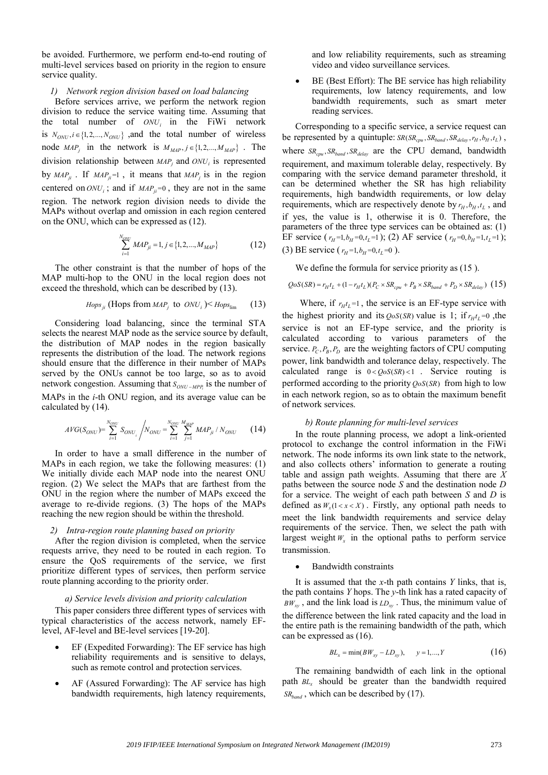be avoided. Furthermore, we perform end-to-end routing of multi-level services based on priority in the region to ensure service quality.

## *1) Network region division based on load balancing*

Before services arrive, we perform the network region division to reduce the service waiting time. Assuming that the total number of  $ONU_i$  in the FiWi network is  $N_{ONU}$ ,  $i \in \{1, 2, ..., N_{ONU}\}$ , and the total number of wireless node  $MAP_j$  in the network is  $M_{MAP}$ ,  $j \in \{1, 2, ..., M_{MAP}\}$ . The division relationship between  $MAP_i$  and  $ONU_i$  is represented by  $MAP_{ji}$ . If  $MAP_{ji} = 1$ , it means that  $MAP_{ji}$  is in the region centered on  $ONU_i$ ; and if  $MAP_{ii} = 0$ , they are not in the same region. The network region division needs to divide the MAPs without overlap and omission in each region centered on the ONU, which can be expressed as (12).

$$
\sum_{i=1}^{N_{ONU}} MAP_{ji} = 1, j \in \{1, 2, ..., M_{MAP}\}
$$
 (12)

The other constraint is that the number of hops of the MAP multi-hop to the ONU in the local region does not exceed the threshold, which can be described by (13).

*Hops<sub>ji</sub>* (Hops from *MAP<sub>j</sub>* to *ONU<sub>i</sub>*)
$$
\leq
$$
 *Hops*<sub>lim</sub> (13)

Considering load balancing, since the terminal STA selects the nearest MAP node as the service source by default, the distribution of MAP nodes in the region basically represents the distribution of the load. The network regions should ensure that the difference in their number of MAPs served by the ONUs cannot be too large, so as to avoid network congestion. Assuming that  $S_{ONU-MPP}$  is the number of

MAPs in the *i*-th ONU region, and its average value can be calculated by (14).

$$
AVG(S_{ONU}) = \sum_{i=1}^{N_{ONU}} S_{ONU_i} / N_{ONU} = \sum_{i=1}^{N_{ONU}} \sum_{j=1}^{M_{MIP}} MAP_{ji} / N_{ONU}
$$
 (14)

In order to have a small difference in the number of MAPs in each region, we take the following measures: (1) We initially divide each MAP node into the nearest ONU region. (2) We select the MAPs that are farthest from the ONU in the region where the number of MAPs exceed the average to re-divide regions. (3) The hops of the MAPs reaching the new region should be within the threshold.

#### *2) Intra-region route planning based on priority*

After the region division is completed, when the service requests arrive, they need to be routed in each region. To ensure the QoS requirements of the service, we first prioritize different types of services, then perform service route planning according to the priority order.

## *a) Service levels division and priority calculation*

This paper considers three different types of services with typical characteristics of the access network, namely EFlevel, AF-level and BE-level services [19-20].

- EF (Expedited Forwarding): The EF service has high reliability requirements and is sensitive to delays, such as remote control and protection services.
- AF (Assured Forwarding): The AF service has high bandwidth requirements, high latency requirements,

and low reliability requirements, such as streaming video and video surveillance services.

 BE (Best Effort): The BE service has high reliability requirements, low latency requirements, and low bandwidth requirements, such as smart meter reading services.

Corresponding to a specific service, a service request can be represented by a quintuple:  $SR(SR_{cpu}, SR_{band}, SR_{delay}, r_H, b_H, t_L)$ , where  $SR_{cpu}$ ,  $SR_{band}$ ,  $SR_{delay}$  are the CPU demand, bandwidth requirement, and maximum tolerable delay, respectively. By comparing with the service demand parameter threshold, it can be determined whether the SR has high reliability requirements, high bandwidth requirements, or low delay requirements, which are respectively denote by  $r_H$ ,  $b_H$ ,  $t_L$ , and if yes, the value is 1, otherwise it is 0. Therefore, the parameters of the three type services can be obtained as: (1) EF service  $(r_H=1, b_H=0, t_L=1)$ ; (2) AF service  $(r_H=0, b_H=1, t_L=1)$ ; (3) BE service ( $r_H = 1, b_H = 0, t_I = 0$ ).

We define the formula for service priority as  $(15)$ .

 $QoS(SR) = r_H t_L + (1 - r_H t_L)(P_C \times SR_{cou} + P_B \times SR_{band} + P_D \times SR_{delay})$  (15)

Where, if  $r_{\mu}t_{\iota}=1$ , the service is an EF-type service with the highest priority and its  $QoS(SR)$  value is 1; if  $r_H t_L = 0$ , the service is not an EF-type service, and the priority is calculated according to various parameters of the service.  $P_C, P_B, P_D$  are the weighting factors of CPU computing power, link bandwidth and tolerance delay, respectively. The calculated range is  $0 < \textit{OoS}$   $(SR) < 1$ . Service routing is performed according to the priority  $\cos(S_R)$  from high to low in each network region, so as to obtain the maximum benefit of network services.

## *b) Route planning for multi-level services*

In the route planning process, we adopt a link-oriented protocol to exchange the control information in the FiWi network. The node informs its own link state to the network, and also collects others' information to generate a routing table and assign path weights. Assuming that there are *X* paths between the source node *S* and the destination node *D* for a service. The weight of each path between *S* and *D* is defined as  $W_x(1 < x < X)$ . Firstly, any optional path needs to meet the link bandwidth requirements and service delay requirements of the service. Then, we select the path with largest weight  $W_x$  in the optional paths to perform service transmission.

## Bandwidth constraints

It is assumed that the *x*-th path contains *Y* links, that is, the path contains *Y* hops. The *y*-th link has a rated capacity of  $BW_{xy}$ , and the link load is  $LD_{xy}$ . Thus, the minimum value of the difference between the link rated capacity and the load in the entire path is the remaining bandwidth of the path, which can be expressed as (16).

$$
BL_x = \min(BW_{xy} - LD_{xy}), \qquad y = 1, ..., Y \tag{16}
$$

The remaining bandwidth of each link in the optional path *BL<sub>x</sub>* should be greater than the bandwidth required  $SR_{band}$ , which can be described by (17).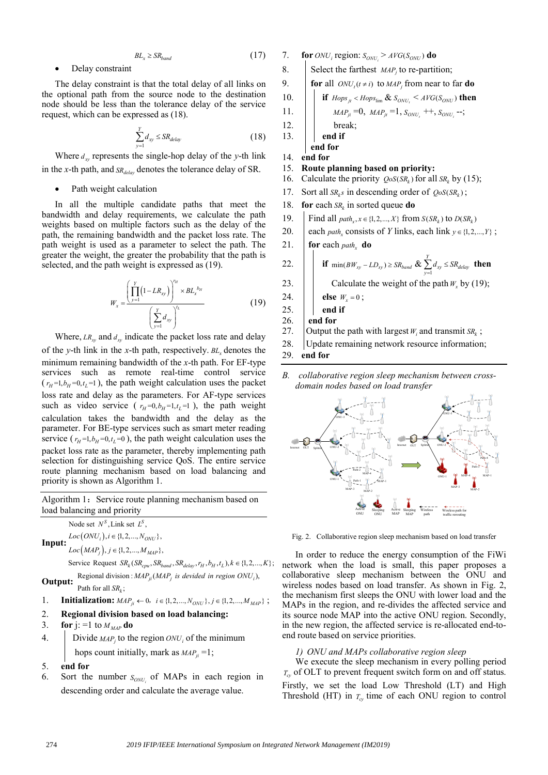$$
BL_x \ge SR_{band} \tag{17}
$$

## Delay constraint

The delay constraint is that the total delay of all links on the optional path from the source node to the destination node should be less than the tolerance delay of the service request, which can be expressed as (18).

$$
\sum_{y=1}^{Y} d_{xy} \le SR_{delay}
$$
 (18)

Where  $d_w$  represents the single-hop delay of the *y*-th link in the *x*-th path, and  $SR_{delay}$  denotes the tolerance delay of SR.

Path weight calculation

In all the multiple candidate paths that meet the bandwidth and delay requirements, we calculate the path weights based on multiple factors such as the delay of the path, the remaining bandwidth and the packet loss rate. The path weight is used as a parameter to select the path. The greater the weight, the greater the probability that the path is selected, and the path weight is expressed as (19).

$$
W_{x} = \frac{\left(\prod_{y=1}^{Y} (1 - LR_{xy})\right)^{r_{H}} \times BL_{x}^{b_{H}}}{\left(\sum_{y=1}^{Y} d_{xy}\right)^{t_{L}}}
$$
(19)

Where,  $LR_w$  and  $d_w$  indicate the packet loss rate and delay of the *y*-th link in the *x*-th path, respectively.  $BL<sub>x</sub>$  denotes the minimum remaining bandwidth of the *x*-th path. For EF-type services such as remote real-time control service  $(r_H=1, b_H=0, t_L=1)$ , the path weight calculation uses the packet loss rate and delay as the parameters. For AF-type services such as video service ( $r_H=0, b_H=1, t_L=1$ ), the path weight calculation takes the bandwidth and the delay as the parameter. For BE-type services such as smart meter reading service ( $r_H = 1, b_H = 0, t_L = 0$ ), the path weight calculation uses the packet loss rate as the parameter, thereby implementing path selection for distinguishing service QoS. The entire service route planning mechanism based on load balancing and priority is shown as Algorithm 1.

Algorithm 1: Service route planning mechanism based on load balancing and priority

**Input:**  $Loc(ONU_i), i \in \{1, 2, ..., N_{ONU}\},$  $Loc(MAP<sub>j</sub>)$ ,  $j \in \{1, 2, ..., M<sub>MAP</sub>\}$ , Node set  $N<sup>S</sup>$ , Link set  $L<sup>S</sup>$ ,

Service Request  $SR_k(SR_{cpu}, SR_{band}, SR_{delay}, r_H, b_H, t_L), k \in \{1, 2, ..., K\};$ **Output:** Regional division :  $MAP_{ji} (MAP_j$  *is devided in region ONU<sub>i</sub>*),

Path for all  $SR_k$ ;

- 1. **Initialization:**  $MAP_{ii} \leftarrow 0, i \in \{1, 2, ..., N_{ONU}\}, j \in \{1, 2, ..., M_{MAP}\}$ ;
- 2. **Regional division based on load balancing:**
- 3. **for** j: =1 to  $M_{MAP}$  **do**
- 4. Divide  $MAP_j$  to the region  $ONU_j$  of the minimum hops count initially, mark as  $MAP_{ii} = 1$ ;
- 5. **end for**
- 6. Sort the number  $S_{\text{ONU}_i}$  of MAPs in each region in descending order and calculate the average value.
- 7. **for**  $ONU_i$  region:  $S_{ONU_i} > AVG(S_{ONU})$  **do**
- 8. Select the farthest  $MAP<sub>i</sub>$  to re-partition;

9. **for** all  $ONU_t(t \neq i)$  to  $MAP_j$  from near to far **do** 

10. 
$$
\left| \int \mathbf{if} \text{ Hops}_{jt} < \text{Hops}_{\text{lim}} \& S_{\text{ONU}_t} < \text{AVG}(S_{\text{ONU}}) \text{ then} \right|
$$

11. 
$$
MAP_{ji} = 0, MAP_{jt} = 1, S_{ONU_t} + 1, S_{ONU_i} - 1;
$$

$$
12. \quad | \quad |
$$

13. **end if**

 **end for** 14. **end for**

## 15. **Route planning based on priority:**

- 16. Calculate the priority  $\cos(SR_k)$  for all  $SR_k$  by (15);
- 17. Sort all  $SR<sub>k</sub>s$  in descending order of  $QoS(SR<sub>k</sub>)$ ;
- 18. **for** each  $SR_k$  in sorted queue **do**

break:

- 19. **Find all**  $path_x, x \in \{1, 2, ..., X\}$  from  $S(SR_k)$  to  $D(SR_k)$
- 20. each *path<sub>x</sub>* consists of *Y* links, each link  $y \in \{1, 2, ..., Y\}$ ;
- 21. **for** each *path*<sub>x</sub> **do**

22. If 
$$
\min(BW_{xy} - LD_{xy}) \ge SR_{band} \& \sum_{y=1}^{Y} d_{xy} \le SR_{delay}
$$
 then

- 23.  $\vert$   $\vert$  Calculate the weight of the path  $W_r$  by (19);
- 24. **else**  $W_r = 0$ ;
- 25.  $\parallel$  end if
- 26. **end for**
- 27. Output the path with largest  $W_i$  and transmit  $SR_k$ ;
- 28. Update remaining network resource information;
- 29. **end for**
- *B. collaborative region sleep mechanism between crossdomain nodes based on load transfer*



Fig. 2. Collaborative region sleep mechanism based on load transfer

In order to reduce the energy consumption of the FiWi network when the load is small, this paper proposes a collaborative sleep mechanism between the ONU and wireless nodes based on load transfer. As shown in Fig. 2, the mechanism first sleeps the ONU with lower load and the MAPs in the region, and re-divides the affected service and its source node MAP into the active ONU region. Secondly, in the new region, the affected service is re-allocated end-toend route based on service priorities.

## *1) ONU and MAPs collaborative region sleep*

We execute the sleep mechanism in every polling period *T<sub>cy</sub>* of OLT to prevent frequent switch form on and off status. Firstly, we set the load Low Threshold (LT) and High Threshold (HT) in  $T_{cy}$  time of each ONU region to control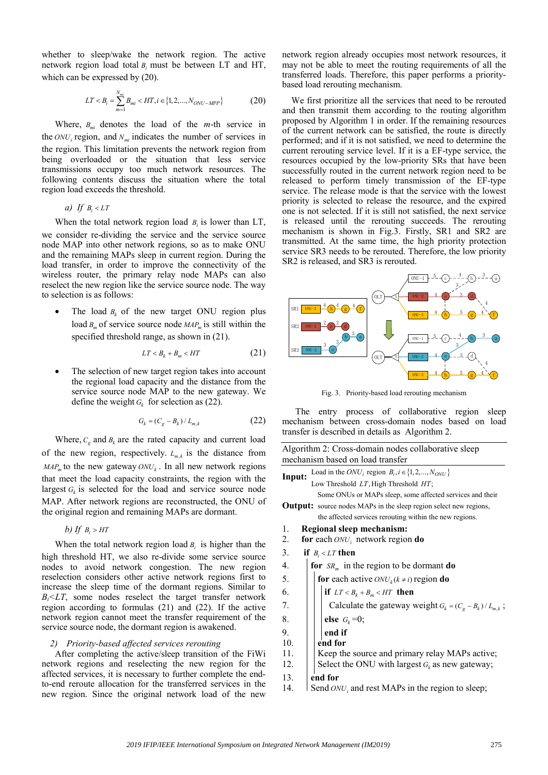whether to sleep/wake the network region. The active network region load total *Bi* must be between LT and HT, which can be expressed by (20).

$$
LT < B_i = \sum_{m=1}^{N_{mi}} B_{mi} < HT, i \in \{1, 2, \dots, N_{ONU-MPP}\} \tag{20}
$$

Where, *Bmi* denotes the load of the *m*-th service in the  $ONU_i$  region, and  $N_m$  indicates the number of services in the region. This limitation prevents the network region from being overloaded or the situation that less service transmissions occupy too much network resources. The following contents discuss the situation where the total region load exceeds the threshold.

*a)* If  $B_i < LT$ 

When the total network region load  $B_i$  is lower than LT, we consider re-dividing the service and the service source node MAP into other network regions, so as to make ONU and the remaining MAPs sleep in current region. During the load transfer, in order to improve the connectivity of the wireless router, the primary relay node MAPs can also reselect the new region like the service source node. The way to selection is as follows:

The load  $B_k$  of the new target ONU region plus load *B<sub>m</sub>* of service source node *MAP<sub>m</sub>* is still within the specified threshold range, as shown in (21).

$$
LT < B_k + B_m < HT \tag{21}
$$

• The selection of new target region takes into account the regional load capacity and the distance from the service source node MAP to the new gateway. We define the weight  $G_k$  for selection as (22).

$$
G_k = (C_g - B_k) / L_{m,k}
$$
 (22)

Where,  $C_e$  and  $B_k$  are the rated capacity and current load of the new region, respectively.  $L_{m,k}$  is the distance from  $MAP<sub>m</sub>$  to the new gateway  $ONU<sub>k</sub>$ . In all new network regions that meet the load capacity constraints, the region with the largest  $G_k$  is selected for the load and service source node MAP. After network regions are reconstructed, the ONU of the original region and remaining MAPs are dormant.

$$
b) \; \text{If} \; \; B_i > HT
$$

When the total network region load *B<sub>i</sub>* is higher than the high threshold HT, we also re-divide some service source nodes to avoid network congestion. The new region reselection considers other active network regions first to increase the sleep time of the dormant regions. Similar to  $B_i$ < $LT$ , some nodes reselect the target transfer network region according to formulas (21) and (22). If the active network region cannot meet the transfer requirement of the service source node, the dormant region is awakened.

#### *2) Priority-based affected services rerouting*

After completing the active/sleep transition of the FiWi network regions and reselecting the new region for the affected services, it is necessary to further complete the endto-end reroute allocation for the transferred services in the new region. Since the original network load of the new network region already occupies most network resources, it may not be able to meet the routing requirements of all the transferred loads. Therefore, this paper performs a prioritybased load rerouting mechanism.

We first prioritize all the services that need to be rerouted and then transmit them according to the routing algorithm proposed by Algorithm 1 in order. If the remaining resources of the current network can be satisfied, the route is directly performed; and if it is not satisfied, we need to determine the current rerouting service level. If it is a EF-type service, the resources occupied by the low-priority SRs that have been successfully routed in the current network region need to be released to perform timely transmission of the EF-type service. The release mode is that the service with the lowest priority is selected to release the resource, and the expired one is not selected. If it is still not satisfied, the next service is released until the rerouting succeeds. The rerouting mechanism is shown in Fig.3. Firstly, SR1 and SR2 are transmitted. At the same time, the high priority protection service SR3 needs to be rerouted. Therefore, the low priority SR2 is released, and SR3 is rerouted.



Fig. 3. Priority-based load rerouting mechanism

The entry process of collaborative region sleep mechanism between cross-domain nodes based on load transfer is described in details as Algorithm 2.

|        | Algorithm 2: Cross-domain nodes collaborative sleep<br>mechanism based on load transfer |
|--------|-----------------------------------------------------------------------------------------|
|        | Load in the $ONU_i$ region $B_i, i \in \{1, 2, , N_{ONU}\}\$                            |
| Input: | Low Threshold LT, High Threshold HT;                                                    |
|        | Some ONUs or MAPs sleep, some affected services and their                               |
|        | <b>Output:</b> source nodes MAPs in the sleep region select new regions,                |
|        | the affected services rerouting within the new regions.                                 |
| 1.     | Regional sleep mechanism:                                                               |
| 2.     | for each $ONU_i$ network region do                                                      |
| 3.     | if $B_i < LT$ then                                                                      |
| 4.     | for $SR_m$ in the region to be dormant do                                               |
| 5.     | for each active $ONU_k(k \neq i)$ region do                                             |
| 6.     | if $LT < B_k + B_m < HT$ then                                                           |
| 7.     | Calculate the gateway weight $G_k = (C_g - B_k) / L_{m,k}$ ;                            |
| 8.     | else $G_k = 0$ ;                                                                        |
| 9.     | end if                                                                                  |
| 10.    | end for                                                                                 |
| 11.    | Keep the source and primary relay MAPs active;                                          |
| 12.    | Select the ONU with largest $G_k$ as new gateway;                                       |
| 13.    | end for                                                                                 |
| 14.    | Send $ONU_i$ and rest MAPs in the region to sleep;                                      |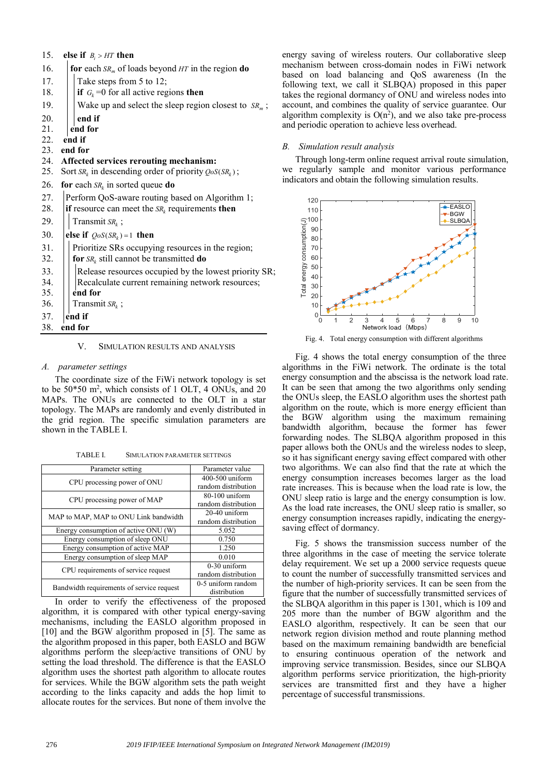|  | 15. else if $B_i > HT$ then |
|--|-----------------------------|
|  |                             |

| 15. | else if $B_i > HT$ then                                   |  |
|-----|-----------------------------------------------------------|--|
| 16. | for each $SR_m$ of loads beyond HT in the region do       |  |
| 17. | Take steps from 5 to 12;                                  |  |
| 18. | if $G_k = 0$ for all active regions then                  |  |
| 19. | Wake up and select the sleep region closest to $SRm$ ;    |  |
| 20. | end if                                                    |  |
| 21. | end for                                                   |  |
| 22. | end if                                                    |  |
| 23. | end for                                                   |  |
| 24. | Affected services rerouting mechanism:                    |  |
| 25. | Sort $SR_k$ in descending order of priority $QoS(SR_k)$ ; |  |
| 26. | for each $SR_k$ in sorted queue do                        |  |
| 27. | Perform QoS-aware routing based on Algorithm 1;           |  |
| 28. | if resource can meet the $SR_k$ requirements then         |  |
| 29. | Transmit $SR_k$ ;                                         |  |
| 30. | else if $QoS(SR_k) = 1$ then                              |  |
| 31. | Prioritize SRs occupying resources in the region;         |  |
| 32. | for $SR_k$ still cannot be transmitted do                 |  |
| 33. | Release resources occupied by the lowest priority SR;     |  |
| 34. | Recalculate current remaining network resources;          |  |
| 35. | end for                                                   |  |
| 36. | Transmit $SR_k$ ;                                         |  |
| 37. | end if                                                    |  |
| 38. | end for                                                   |  |
|     |                                                           |  |

## V. SIMULATION RESULTS AND ANALYSIS

## *A. parameter settings*

The coordinate size of the FiWi network topology is set to be  $50*50$  m<sup>2</sup>, which consists of 1 OLT, 4 ONUs, and 20 MAPs. The ONUs are connected to the OLT in a star topology. The MAPs are randomly and evenly distributed in the grid region. The specific simulation parameters are shown in the TABLE I.

TABLE I. SIMULATION PARAMETER SETTINGS

| Parameter setting                         | Parameter value                         |
|-------------------------------------------|-----------------------------------------|
| CPU processing power of ONU               | 400-500 uniform<br>random distribution  |
| CPU processing power of MAP               | $80-100$ uniform<br>random distribution |
| MAP to MAP, MAP to ONU Link bandwidth     | $20-40$ uniform<br>random distribution  |
| Energy consumption of active ONU (W)      | 5.052                                   |
| Energy consumption of sleep ONU           | 0.750                                   |
| Energy consumption of active MAP          | 1.250                                   |
| Energy consumption of sleep MAP           | 0.010                                   |
| CPU requirements of service request       | $0-30$ uniform<br>random distribution   |
| Bandwidth requirements of service request | 0-5 uniform random<br>distribution      |

In order to verify the effectiveness of the proposed algorithm, it is compared with other typical energy-saving mechanisms, including the EASLO algorithm proposed in [10] and the BGW algorithm proposed in [5]. The same as the algorithm proposed in this paper, both EASLO and BGW algorithms perform the sleep/active transitions of ONU by setting the load threshold. The difference is that the EASLO algorithm uses the shortest path algorithm to allocate routes for services. While the BGW algorithm sets the path weight according to the links capacity and adds the hop limit to allocate routes for the services. But none of them involve the energy saving of wireless routers. Our collaborative sleep mechanism between cross-domain nodes in FiWi network based on load balancing and QoS awareness (In the following text, we call it SLBQA) proposed in this paper takes the regional dormancy of ONU and wireless nodes into account, and combines the quality of service guarantee. Our algorithm complexity is  $O(n^2)$ , and we also take pre-process and periodic operation to achieve less overhead.

## *B. Simulation result analysis*

Through long-term online request arrival route simulation, we regularly sample and monitor various performance indicators and obtain the following simulation results.



Fig. 4. Total energy consumption with different algorithms

Fig. 4 shows the total energy consumption of the three algorithms in the FiWi network. The ordinate is the total energy consumption and the abscissa is the network load rate. It can be seen that among the two algorithms only sending the ONUs sleep, the EASLO algorithm uses the shortest path algorithm on the route, which is more energy efficient than the BGW algorithm using the maximum remaining bandwidth algorithm, because the former has fewer forwarding nodes. The SLBQA algorithm proposed in this paper allows both the ONUs and the wireless nodes to sleep, so it has significant energy saving effect compared with other two algorithms. We can also find that the rate at which the energy consumption increases becomes larger as the load rate increases. This is because when the load rate is low, the ONU sleep ratio is large and the energy consumption is low. As the load rate increases, the ONU sleep ratio is smaller, so energy consumption increases rapidly, indicating the energysaving effect of dormancy.

Fig. 5 shows the transmission success number of the three algorithms in the case of meeting the service tolerate delay requirement. We set up a 2000 service requests queue to count the number of successfully transmitted services and the number of high-priority services. It can be seen from the figure that the number of successfully transmitted services of the SLBQA algorithm in this paper is 1301, which is 109 and 205 more than the number of BGW algorithm and the EASLO algorithm, respectively. It can be seen that our network region division method and route planning method based on the maximum remaining bandwidth are beneficial to ensuring continuous operation of the network and improving service transmission. Besides, since our SLBQA algorithm performs service prioritization, the high-priority services are transmitted first and they have a higher percentage of successful transmissions.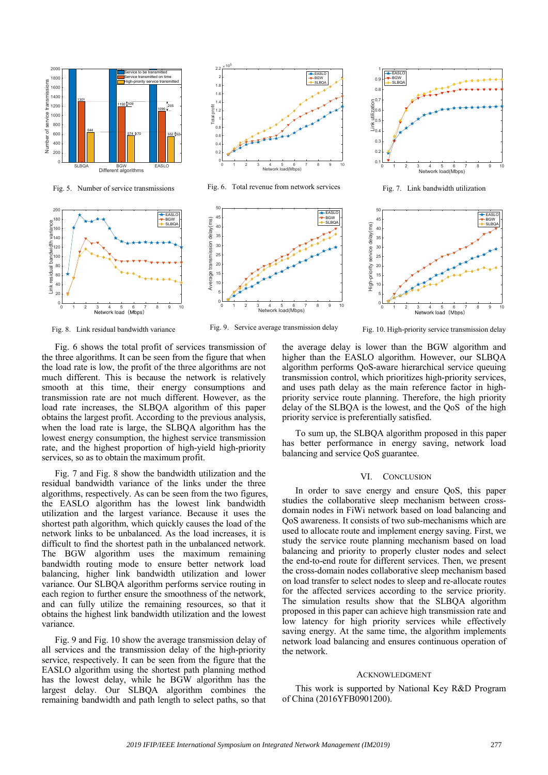

Fig. 5. Number of service transmissions



Fig. 6. Total revenue from network services





Fig. 7. Link bandwidth utilization



Fig. 8. Link residual bandwidth variance

Link residual bandwidth variance

Ě

0 1 2 3 4 5 6 7 8 9 10

Fig. 9. Service average transmission delay

Fig. 10. High-priority service transmission delay

Fig. 6 shows the total profit of services transmission of the three algorithms. It can be seen from the figure that when the load rate is low, the profit of the three algorithms are not much different. This is because the network is relatively smooth at this time, their energy consumptions and transmission rate are not much different. However, as the load rate increases, the SLBQA algorithm of this paper obtains the largest profit. According to the previous analysis, when the load rate is large, the SLBQA algorithm has the lowest energy consumption, the highest service transmission rate, and the highest proportion of high-yield high-priority services, so as to obtain the maximum profit.

EASLO BGW SLBQA

Fig. 7 and Fig. 8 show the bandwidth utilization and the residual bandwidth variance of the links under the three algorithms, respectively. As can be seen from the two figures, the EASLO algorithm has the lowest link bandwidth utilization and the largest variance. Because it uses the shortest path algorithm, which quickly causes the load of the network links to be unbalanced. As the load increases, it is difficult to find the shortest path in the unbalanced network. The BGW algorithm uses the maximum remaining bandwidth routing mode to ensure better network load balancing, higher link bandwidth utilization and lower variance. Our SLBQA algorithm performs service routing in each region to further ensure the smoothness of the network, and can fully utilize the remaining resources, so that it obtains the highest link bandwidth utilization and the lowest variance.

Fig. 9 and Fig. 10 show the average transmission delay of all services and the transmission delay of the high-priority service, respectively. It can be seen from the figure that the EASLO algorithm using the shortest path planning method has the lowest delay, while he BGW algorithm has the largest delay. Our SLBQA algorithm combines the remaining bandwidth and path length to select paths, so that the average delay is lower than the BGW algorithm and higher than the EASLO algorithm. However, our SLBQA algorithm performs QoS-aware hierarchical service queuing transmission control, which prioritizes high-priority services, and uses path delay as the main reference factor in highpriority service route planning. Therefore, the high priority delay of the SLBQA is the lowest, and the QoS of the high priority service is preferentially satisfied.

To sum up, the SLBQA algorithm proposed in this paper has better performance in energy saving, network load balancing and service QoS guarantee.

## VI. CONCLUSION

In order to save energy and ensure QoS, this paper studies the collaborative sleep mechanism between crossdomain nodes in FiWi network based on load balancing and QoS awareness. It consists of two sub-mechanisms which are used to allocate route and implement energy saving. First, we study the service route planning mechanism based on load balancing and priority to properly cluster nodes and select the end-to-end route for different services. Then, we present the cross-domain nodes collaborative sleep mechanism based on load transfer to select nodes to sleep and re-allocate routes for the affected services according to the service priority. The simulation results show that the SLBQA algorithm proposed in this paper can achieve high transmission rate and low latency for high priority services while effectively saving energy. At the same time, the algorithm implements network load balancing and ensures continuous operation of the network.

#### ACKNOWLEDGMENT

This work is supported by National Key R&D Program of China (2016YFB0901200).